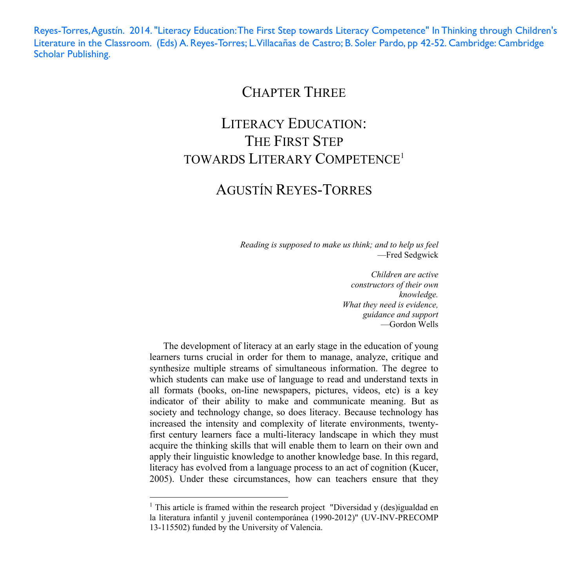Reyes-Torres, Agustín. 2014. "Literacy Education: The First Step towards Literacy Competence" In Thinking through Children's Literature in the Classroom. (Eds) A. Reyes-Torres; L. Villacañas de Castro; B. Soler Pardo, pp 42-52. Cambridge: Cambridge Scholar Publishing.

### CHAPTER THREE

# LITERACY EDUCATION: THE FIRST STEP TOWARDS LITERARY COMPETENCE1

## AGUSTÍN REYES-TORRES

*Reading is supposed to make us think; and to help us feel*  —Fred Sedgwick

> *Children are active constructors of their own knowledge. What they need is evidence, guidance and support*  —Gordon Wells

The development of literacy at an early stage in the education of young learners turns crucial in order for them to manage, analyze, critique and synthesize multiple streams of simultaneous information. The degree to which students can make use of language to read and understand texts in all formats (books, on-line newspapers, pictures, videos, etc) is a key indicator of their ability to make and communicate meaning. But as society and technology change, so does literacy. Because technology has increased the intensity and complexity of literate environments, twentyfirst century learners face a multi-literacy landscape in which they must acquire the thinking skills that will enable them to learn on their own and apply their linguistic knowledge to another knowledge base. In this regard, literacy has evolved from a language process to an act of cognition (Kucer, 2005). Under these circumstances, how can teachers ensure that they

<sup>&</sup>lt;sup>1</sup> This article is framed within the research project "Diversidad y (des)igualdad en la literatura infantil y juvenil contemporánea (1990-2012)" (UV-INV-PRECOMP 13-115502) funded by the University of Valencia.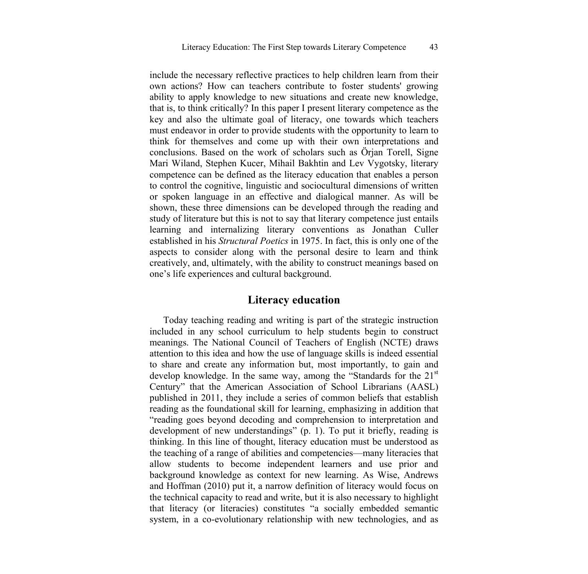include the necessary reflective practices to help children learn from their own actions? How can teachers contribute to foster students' growing ability to apply knowledge to new situations and create new knowledge, that is, to think critically? In this paper I present literary competence as the key and also the ultimate goal of literacy, one towards which teachers must endeavor in order to provide students with the opportunity to learn to think for themselves and come up with their own interpretations and conclusions. Based on the work of scholars such as Örjan Torell, Signe Mari Wiland, Stephen Kucer, Mihail Bakhtin and Lev Vygotsky, literary competence can be defined as the literacy education that enables a person to control the cognitive, linguistic and sociocultural dimensions of written or spoken language in an effective and dialogical manner. As will be shown, these three dimensions can be developed through the reading and study of literature but this is not to say that literary competence just entails learning and internalizing literary conventions as Jonathan Culler established in his *Structural Poetics* in 1975. In fact, this is only one of the aspects to consider along with the personal desire to learn and think creatively, and, ultimately, with the ability to construct meanings based on one's life experiences and cultural background.

### **Literacy education**

Today teaching reading and writing is part of the strategic instruction included in any school curriculum to help students begin to construct meanings. The National Council of Teachers of English (NCTE) draws attention to this idea and how the use of language skills is indeed essential to share and create any information but, most importantly, to gain and develop knowledge. In the same way, among the "Standards for the  $21<sup>st</sup>$ Century" that the American Association of School Librarians (AASL) published in 2011, they include a series of common beliefs that establish reading as the foundational skill for learning, emphasizing in addition that "reading goes beyond decoding and comprehension to interpretation and development of new understandings" (p. 1). To put it briefly, reading is thinking. In this line of thought, literacy education must be understood as the teaching of a range of abilities and competencies—many literacies that allow students to become independent learners and use prior and background knowledge as context for new learning. As Wise, Andrews and Hoffman (2010) put it, a narrow definition of literacy would focus on the technical capacity to read and write, but it is also necessary to highlight that literacy (or literacies) constitutes "a socially embedded semantic system, in a co-evolutionary relationship with new technologies, and as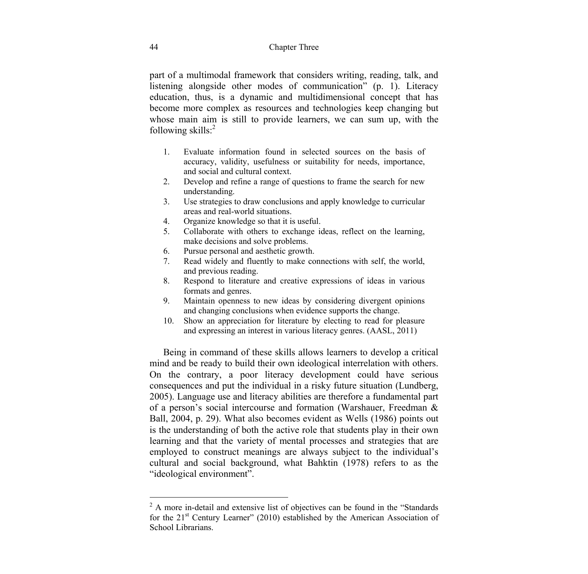part of a multimodal framework that considers writing, reading, talk, and listening alongside other modes of communication" (p. 1). Literacy education, thus, is a dynamic and multidimensional concept that has become more complex as resources and technologies keep changing but whose main aim is still to provide learners, we can sum up, with the following skills:2

- 1. Evaluate information found in selected sources on the basis of accuracy, validity, usefulness or suitability for needs, importance, and social and cultural context.
- 2. Develop and refine a range of questions to frame the search for new understanding.
- 3. Use strategies to draw conclusions and apply knowledge to curricular areas and real-world situations.
- 4. Organize knowledge so that it is useful.
- 5. Collaborate with others to exchange ideas, reflect on the learning, make decisions and solve problems.
- 6. Pursue personal and aesthetic growth.
- 7. Read widely and fluently to make connections with self, the world, and previous reading.
- 8. Respond to literature and creative expressions of ideas in various formats and genres.
- 9. Maintain openness to new ideas by considering divergent opinions and changing conclusions when evidence supports the change.
- 10. Show an appreciation for literature by electing to read for pleasure and expressing an interest in various literacy genres. (AASL, 2011)

Being in command of these skills allows learners to develop a critical mind and be ready to build their own ideological interrelation with others. On the contrary, a poor literacy development could have serious consequences and put the individual in a risky future situation (Lundberg, 2005). Language use and literacy abilities are therefore a fundamental part of a person's social intercourse and formation (Warshauer, Freedman & Ball, 2004, p. 29). What also becomes evident as Wells (1986) points out is the understanding of both the active role that students play in their own learning and that the variety of mental processes and strategies that are employed to construct meanings are always subject to the individual's cultural and social background, what Bahktin (1978) refers to as the "ideological environment".

<sup>&</sup>lt;sup>2</sup> A more in-detail and extensive list of objectives can be found in the "Standards" for the  $21<sup>st</sup>$  Century Learner" (2010) established by the American Association of School Librarians.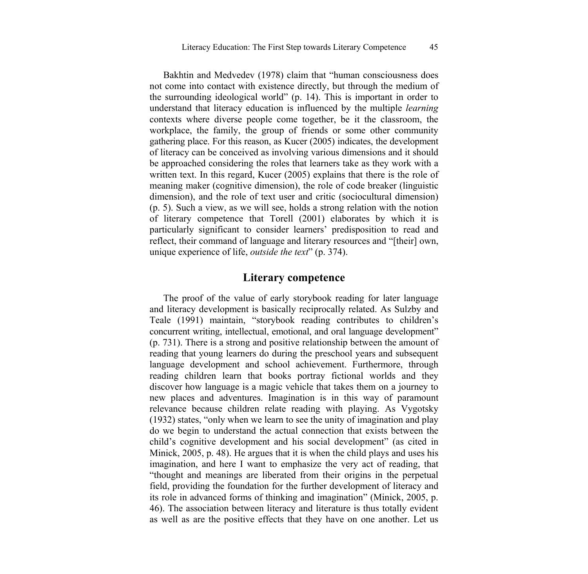Bakhtin and Medvedev (1978) claim that "human consciousness does not come into contact with existence directly, but through the medium of the surrounding ideological world" (p. 14). This is important in order to understand that literacy education is influenced by the multiple *learning* contexts where diverse people come together, be it the classroom, the workplace, the family, the group of friends or some other community gathering place. For this reason, as Kucer (2005) indicates, the development of literacy can be conceived as involving various dimensions and it should be approached considering the roles that learners take as they work with a written text. In this regard, Kucer (2005) explains that there is the role of meaning maker (cognitive dimension), the role of code breaker (linguistic dimension), and the role of text user and critic (sociocultural dimension) (p. 5). Such a view, as we will see, holds a strong relation with the notion of literary competence that Torell (2001) elaborates by which it is particularly significant to consider learners' predisposition to read and reflect, their command of language and literary resources and "[their] own, unique experience of life, *outside the text*" (p. 374).

#### **Literary competence**

The proof of the value of early storybook reading for later language and literacy development is basically reciprocally related. As Sulzby and Teale (1991) maintain, "storybook reading contributes to children's concurrent writing, intellectual, emotional, and oral language development" (p. 731). There is a strong and positive relationship between the amount of reading that young learners do during the preschool years and subsequent language development and school achievement. Furthermore, through reading children learn that books portray fictional worlds and they discover how language is a magic vehicle that takes them on a journey to new places and adventures. Imagination is in this way of paramount relevance because children relate reading with playing. As Vygotsky (1932) states, "only when we learn to see the unity of imagination and play do we begin to understand the actual connection that exists between the child's cognitive development and his social development" (as cited in Minick, 2005, p. 48). He argues that it is when the child plays and uses his imagination, and here I want to emphasize the very act of reading, that "thought and meanings are liberated from their origins in the perpetual field, providing the foundation for the further development of literacy and its role in advanced forms of thinking and imagination" (Minick, 2005, p. 46). The association between literacy and literature is thus totally evident as well as are the positive effects that they have on one another. Let us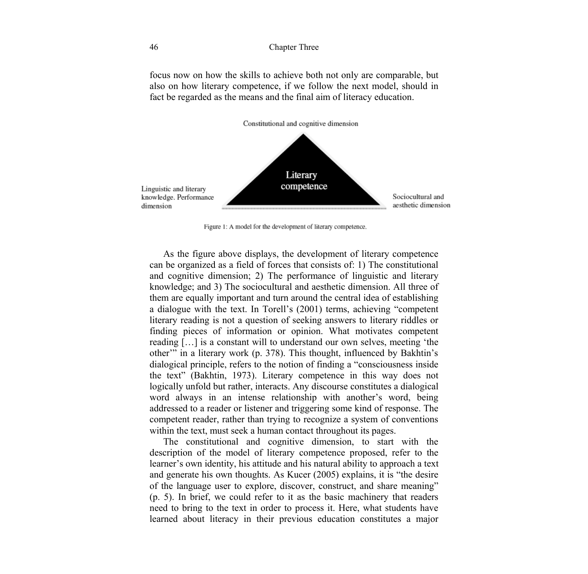focus now on how the skills to achieve both not only are comparable, but also on how literary competence, if we follow the next model, should in fact be regarded as the means and the final aim of literacy education.



Figure 1: A model for the development of literary competence.

As the figure above displays, the development of literary competence can be organized as a field of forces that consists of: 1) The constitutional and cognitive dimension; 2) The performance of linguistic and literary knowledge; and 3) The sociocultural and aesthetic dimension. All three of them are equally important and turn around the central idea of establishing a dialogue with the text. In Torell's (2001) terms, achieving "competent literary reading is not a question of seeking answers to literary riddles or finding pieces of information or opinion. What motivates competent reading […] is a constant will to understand our own selves, meeting 'the other'" in a literary work (p. 378). This thought, influenced by Bakhtin's dialogical principle, refers to the notion of finding a "consciousness inside the text" (Bakhtin, 1973). Literary competence in this way does not logically unfold but rather, interacts. Any discourse constitutes a dialogical word always in an intense relationship with another's word, being addressed to a reader or listener and triggering some kind of response. The competent reader, rather than trying to recognize a system of conventions within the text, must seek a human contact throughout its pages.

The constitutional and cognitive dimension, to start with the description of the model of literary competence proposed, refer to the learner's own identity, his attitude and his natural ability to approach a text and generate his own thoughts. As Kucer (2005) explains, it is "the desire of the language user to explore, discover, construct, and share meaning" (p. 5). In brief, we could refer to it as the basic machinery that readers need to bring to the text in order to process it. Here, what students have learned about literacy in their previous education constitutes a major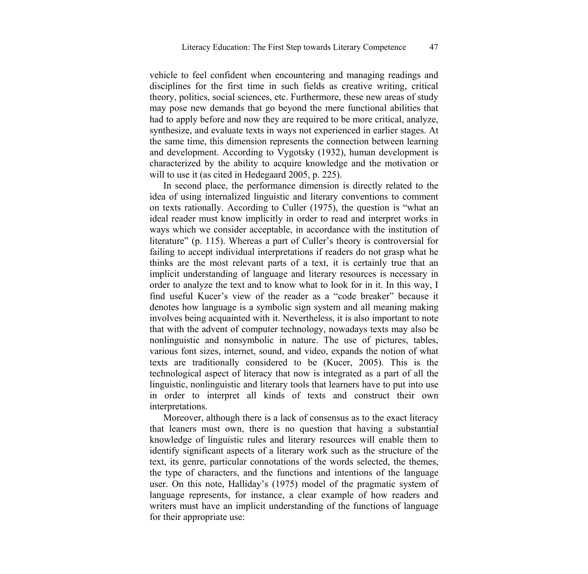vehicle to feel confident when encountering and managing readings and disciplines for the first time in such fields as creative writing, critical theory, politics, social sciences, etc. Furthermore, these new areas of study may pose new demands that go beyond the mere functional abilities that had to apply before and now they are required to be more critical, analyze, synthesize, and evaluate texts in ways not experienced in earlier stages. At the same time, this dimension represents the connection between learning and development. According to Vygotsky (1932), human development is characterized by the ability to acquire knowledge and the motivation or will to use it (as cited in Hedegaard 2005, p. 225).

In second place, the performance dimension is directly related to the idea of using internalized linguistic and literary conventions to comment on texts rationally. According to Culler (1975), the question is "what an ideal reader must know implicitly in order to read and interpret works in ways which we consider acceptable, in accordance with the institution of literature" (p. 115). Whereas a part of Culler's theory is controversial for failing to accept individual interpretations if readers do not grasp what he thinks are the most relevant parts of a text, it is certainly true that an implicit understanding of language and literary resources is necessary in order to analyze the text and to know what to look for in it. In this way, I find useful Kucer's view of the reader as a "code breaker" because it denotes how language is a symbolic sign system and all meaning making involves being acquainted with it. Nevertheless, it is also important to note that with the advent of computer technology, nowadays texts may also be nonlinguistic and nonsymbolic in nature. The use of pictures, tables, various font sizes, internet, sound, and video, expands the notion of what texts are traditionally considered to be (Kucer, 2005). This is the technological aspect of literacy that now is integrated as a part of all the linguistic, nonlinguistic and literary tools that learners have to put into use in order to interpret all kinds of texts and construct their own interpretations.

Moreover, although there is a lack of consensus as to the exact literacy that leaners must own, there is no question that having a substantial knowledge of linguistic rules and literary resources will enable them to identify significant aspects of a literary work such as the structure of the text, its genre, particular connotations of the words selected, the themes, the type of characters, and the functions and intentions of the language user. On this note, Halliday's (1975) model of the pragmatic system of language represents, for instance, a clear example of how readers and writers must have an implicit understanding of the functions of language for their appropriate use: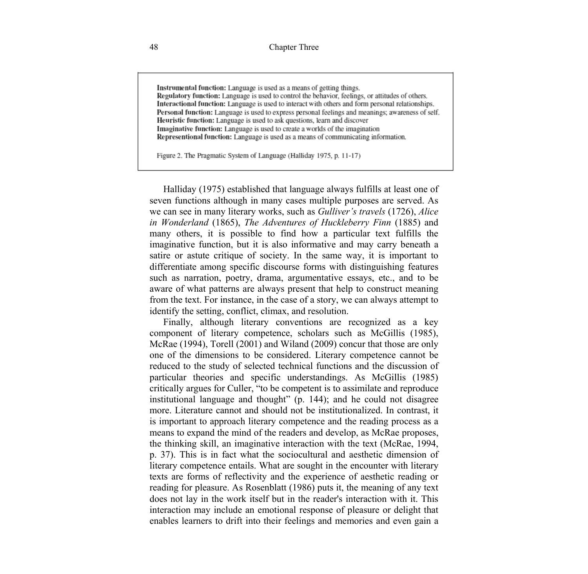Instrumental function: Language is used as a means of getting things. Regulatory function: Language is used to control the behavior, feelings, or attitudes of others. Interactional function: Language is used to interact with others and form personal relationships. Personal function: Language is used to express personal feelings and meanings; awareness of self. Heuristic function: Language is used to ask questions, learn and discover Imaginative function: Language is used to create a worlds of the imagination Representional function: Language is used as a means of communicating information.

Figure 2. The Pragmatic System of Language (Halliday 1975, p. 11-17)

Halliday (1975) established that language always fulfills at least one of seven functions although in many cases multiple purposes are served. As we can see in many literary works, such as *Gulliver's travels* (1726), *Alice in Wonderland* (1865), *The Adventures of Huckleberry Finn* (1885) and many others, it is possible to find how a particular text fulfills the imaginative function, but it is also informative and may carry beneath a satire or astute critique of society. In the same way, it is important to differentiate among specific discourse forms with distinguishing features such as narration, poetry, drama, argumentative essays, etc., and to be aware of what patterns are always present that help to construct meaning from the text. For instance, in the case of a story, we can always attempt to identify the setting, conflict, climax, and resolution.

Finally, although literary conventions are recognized as a key component of literary competence, scholars such as McGillis (1985), McRae (1994), Torell (2001) and Wiland (2009) concur that those are only one of the dimensions to be considered. Literary competence cannot be reduced to the study of selected technical functions and the discussion of particular theories and specific understandings. As McGillis (1985) critically argues for Culler, "to be competent is to assimilate and reproduce institutional language and thought" (p. 144); and he could not disagree more. Literature cannot and should not be institutionalized. In contrast, it is important to approach literary competence and the reading process as a means to expand the mind of the readers and develop, as McRae proposes, the thinking skill, an imaginative interaction with the text (McRae, 1994, p. 37). This is in fact what the sociocultural and aesthetic dimension of literary competence entails. What are sought in the encounter with literary texts are forms of reflectivity and the experience of aesthetic reading or reading for pleasure. As Rosenblatt (1986) puts it, the meaning of any text does not lay in the work itself but in the reader's interaction with it. This interaction may include an emotional response of pleasure or delight that enables learners to drift into their feelings and memories and even gain a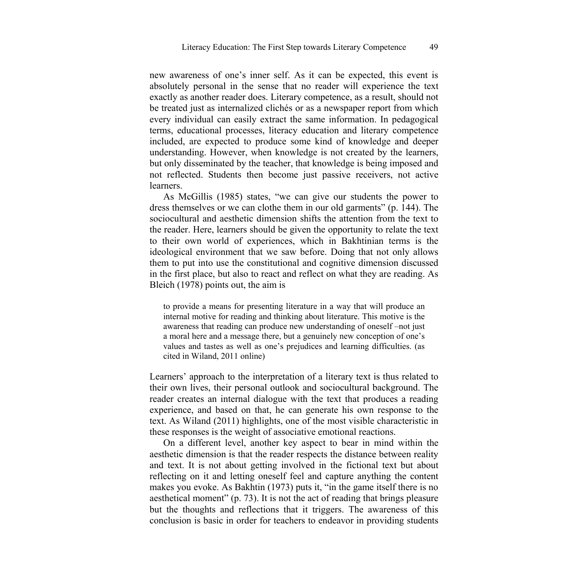new awareness of one's inner self. As it can be expected, this event is absolutely personal in the sense that no reader will experience the text exactly as another reader does. Literary competence, as a result, should not be treated just as internalized clichés or as a newspaper report from which every individual can easily extract the same information. In pedagogical terms, educational processes, literacy education and literary competence included, are expected to produce some kind of knowledge and deeper understanding. However, when knowledge is not created by the learners, but only disseminated by the teacher, that knowledge is being imposed and not reflected. Students then become just passive receivers, not active learners.

As McGillis (1985) states, "we can give our students the power to dress themselves or we can clothe them in our old garments" (p. 144). The sociocultural and aesthetic dimension shifts the attention from the text to the reader. Here, learners should be given the opportunity to relate the text to their own world of experiences, which in Bakhtinian terms is the ideological environment that we saw before. Doing that not only allows them to put into use the constitutional and cognitive dimension discussed in the first place, but also to react and reflect on what they are reading. As Bleich (1978) points out, the aim is

to provide a means for presenting literature in a way that will produce an internal motive for reading and thinking about literature. This motive is the awareness that reading can produce new understanding of oneself –not just a moral here and a message there, but a genuinely new conception of one's values and tastes as well as one's prejudices and learning difficulties. (as cited in Wiland, 2011 online)

Learners' approach to the interpretation of a literary text is thus related to their own lives, their personal outlook and sociocultural background. The reader creates an internal dialogue with the text that produces a reading experience, and based on that, he can generate his own response to the text. As Wiland (2011) highlights, one of the most visible characteristic in these responses is the weight of associative emotional reactions.

On a different level, another key aspect to bear in mind within the aesthetic dimension is that the reader respects the distance between reality and text. It is not about getting involved in the fictional text but about reflecting on it and letting oneself feel and capture anything the content makes you evoke. As Bakhtin (1973) puts it, "in the game itself there is no aesthetical moment" (p. 73). It is not the act of reading that brings pleasure but the thoughts and reflections that it triggers. The awareness of this conclusion is basic in order for teachers to endeavor in providing students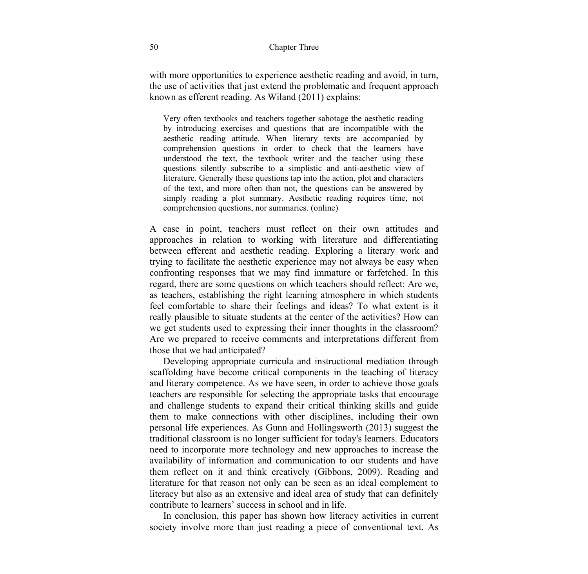with more opportunities to experience aesthetic reading and avoid, in turn, the use of activities that just extend the problematic and frequent approach known as efferent reading. As Wiland (2011) explains:

Very often textbooks and teachers together sabotage the aesthetic reading by introducing exercises and questions that are incompatible with the aesthetic reading attitude. When literary texts are accompanied by comprehension questions in order to check that the learners have understood the text, the textbook writer and the teacher using these questions silently subscribe to a simplistic and anti-aesthetic view of literature. Generally these questions tap into the action, plot and characters of the text, and more often than not, the questions can be answered by simply reading a plot summary. Aesthetic reading requires time, not comprehension questions, nor summaries. (online)

A case in point, teachers must reflect on their own attitudes and approaches in relation to working with literature and differentiating between efferent and aesthetic reading. Exploring a literary work and trying to facilitate the aesthetic experience may not always be easy when confronting responses that we may find immature or farfetched. In this regard, there are some questions on which teachers should reflect: Are we, as teachers, establishing the right learning atmosphere in which students feel comfortable to share their feelings and ideas? To what extent is it really plausible to situate students at the center of the activities? How can we get students used to expressing their inner thoughts in the classroom? Are we prepared to receive comments and interpretations different from those that we had anticipated?

Developing appropriate curricula and instructional mediation through scaffolding have become critical components in the teaching of literacy and literary competence. As we have seen, in order to achieve those goals teachers are responsible for selecting the appropriate tasks that encourage and challenge students to expand their critical thinking skills and guide them to make connections with other disciplines, including their own personal life experiences. As Gunn and Hollingsworth (2013) suggest the traditional classroom is no longer sufficient for today's learners. Educators need to incorporate more technology and new approaches to increase the availability of information and communication to our students and have them reflect on it and think creatively (Gibbons, 2009). Reading and literature for that reason not only can be seen as an ideal complement to literacy but also as an extensive and ideal area of study that can definitely contribute to learners' success in school and in life.

In conclusion, this paper has shown how literacy activities in current society involve more than just reading a piece of conventional text. As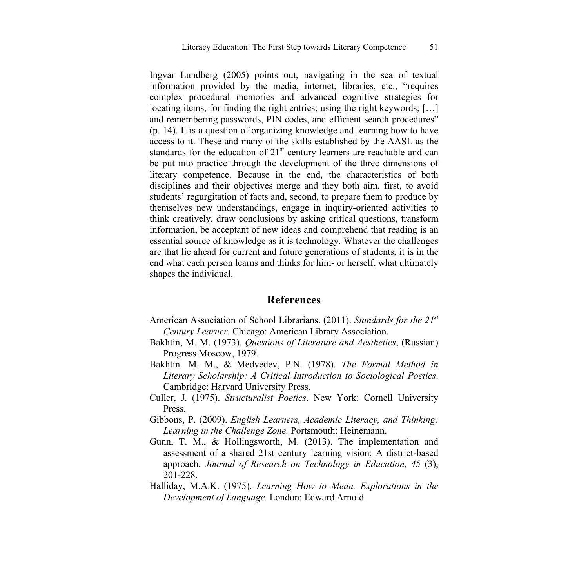Ingvar Lundberg (2005) points out, navigating in the sea of textual information provided by the media, internet, libraries, etc., "requires complex procedural memories and advanced cognitive strategies for locating items, for finding the right entries; using the right keywords; […] and remembering passwords, PIN codes, and efficient search procedures" (p. 14). It is a question of organizing knowledge and learning how to have access to it. These and many of the skills established by the AASL as the standards for the education of  $21<sup>st</sup>$  century learners are reachable and can be put into practice through the development of the three dimensions of literary competence. Because in the end, the characteristics of both disciplines and their objectives merge and they both aim, first, to avoid students' regurgitation of facts and, second, to prepare them to produce by themselves new understandings, engage in inquiry-oriented activities to think creatively, draw conclusions by asking critical questions, transform information, be acceptant of new ideas and comprehend that reading is an essential source of knowledge as it is technology. Whatever the challenges are that lie ahead for current and future generations of students, it is in the end what each person learns and thinks for him- or herself, what ultimately shapes the individual.

#### **References**

- American Association of School Librarians. (2011). *Standards for the 21st Century Learner.* Chicago: American Library Association.
- Bakhtin, M. M. (1973). *Questions of Literature and Aesthetics*, (Russian) Progress Moscow, 1979.
- Bakhtin. M. M., & Medvedev, P.N. (1978). *The Formal Method in Literary Scholarship: A Critical Introduction to Sociological Poetics*. Cambridge: Harvard University Press.
- Culler, J. (1975). *Structuralist Poetics*. New York: Cornell University Press.
- Gibbons, P. (2009). *English Learners, Academic Literacy, and Thinking: Learning in the Challenge Zone.* Portsmouth: Heinemann.
- Gunn, T. M., & Hollingsworth, M. (2013). The implementation and assessment of a shared 21st century learning vision: A district-based approach. *Journal of Research on Technology in Education, 45* (3), 201-228.
- Halliday, M.A.K. (1975). *Learning How to Mean. Explorations in the Development of Language.* London: Edward Arnold.